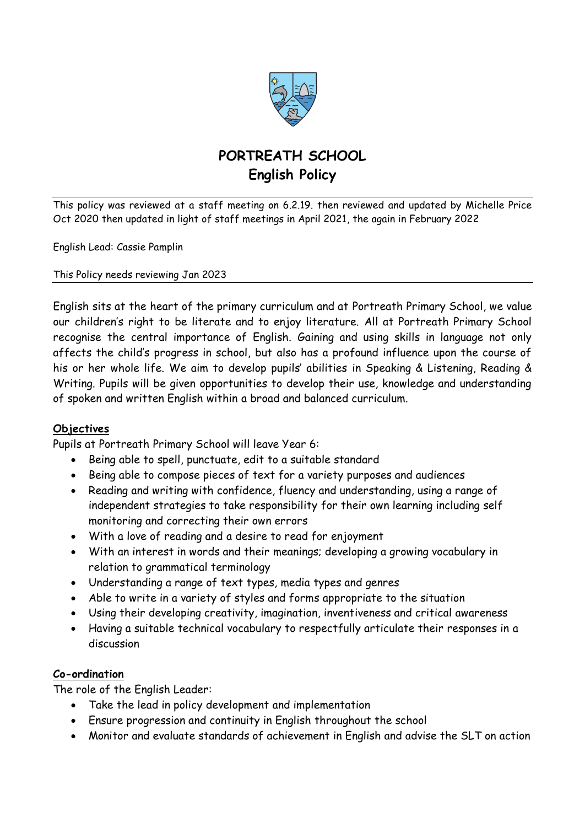

# **PORTREATH SCHOOL English Policy**

This policy was reviewed at a staff meeting on 6.2.19. then reviewed and updated by Michelle Price Oct 2020 then updated in light of staff meetings in April 2021, the again in February 2022

English Lead: Cassie Pamplin

This Policy needs reviewing Jan 2023

English sits at the heart of the primary curriculum and at Portreath Primary School, we value our children's right to be literate and to enjoy literature. All at Portreath Primary School recognise the central importance of English. Gaining and using skills in language not only affects the child's progress in school, but also has a profound influence upon the course of his or her whole life. We aim to develop pupils' abilities in Speaking & Listening, Reading & Writing. Pupils will be given opportunities to develop their use, knowledge and understanding of spoken and written English within a broad and balanced curriculum.

## **Objectives**

Pupils at Portreath Primary School will leave Year 6:

- Being able to spell, punctuate, edit to a suitable standard
- Being able to compose pieces of text for a variety purposes and audiences
- Reading and writing with confidence, fluency and understanding, using a range of independent strategies to take responsibility for their own learning including self monitoring and correcting their own errors
- With a love of reading and a desire to read for enjoyment
- With an interest in words and their meanings; developing a growing vocabulary in relation to grammatical terminology
- Understanding a range of text types, media types and genres
- Able to write in a variety of styles and forms appropriate to the situation
- Using their developing creativity, imagination, inventiveness and critical awareness
- Having a suitable technical vocabulary to respectfully articulate their responses in a discussion

## **Co-ordination**

The role of the English Leader:

- Take the lead in policy development and implementation
- Ensure progression and continuity in English throughout the school
- Monitor and evaluate standards of achievement in English and advise the SLT on action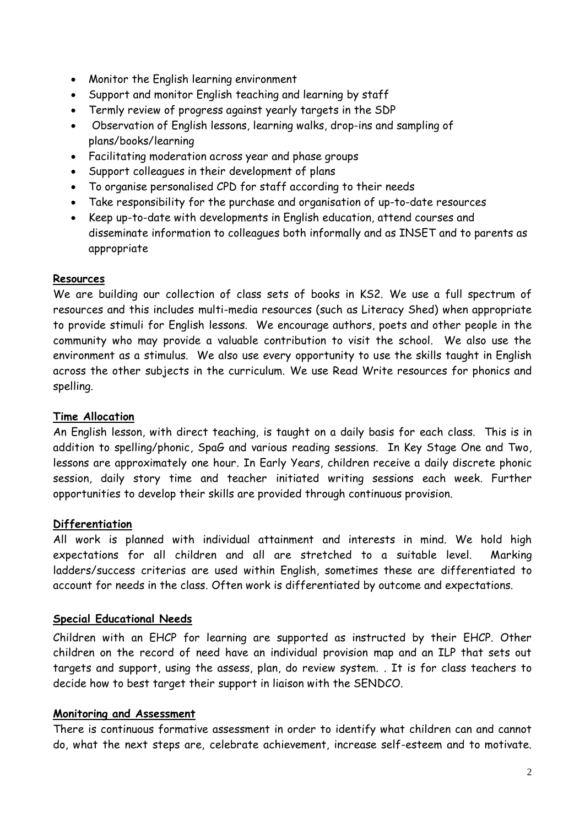- Monitor the English learning environment
- Support and monitor English teaching and learning by staff
- Termly review of progress against yearly targets in the SDP
- Observation of English lessons, learning walks, drop-ins and sampling of plans/books/learning
- Facilitating moderation across year and phase groups
- Support colleagues in their development of plans
- To organise personalised CPD for staff according to their needs
- Take responsibility for the purchase and organisation of up-to-date resources
- Keep up-to-date with developments in English education, attend courses and disseminate information to colleagues both informally and as INSET and to parents as appropriate

#### **Resources**

We are building our collection of class sets of books in KS2. We use a full spectrum of resources and this includes multi-media resources (such as Literacy Shed) when appropriate to provide stimuli for English lessons. We encourage authors, poets and other people in the community who may provide a valuable contribution to visit the school. We also use the environment as a stimulus. We also use every opportunity to use the skills taught in English across the other subjects in the curriculum. We use Read Write resources for phonics and spelling.

#### **Time Allocation**

An English lesson, with direct teaching, is taught on a daily basis for each class. This is in addition to spelling/phonic, SpaG and various reading sessions. In Key Stage One and Two, lessons are approximately one hour. In Early Years, children receive a daily discrete phonic session, daily story time and teacher initiated writing sessions each week. Further opportunities to develop their skills are provided through continuous provision.

#### **Differentiation**

All work is planned with individual attainment and interests in mind. We hold high expectations for all children and all are stretched to a suitable level. Marking ladders/success criterias are used within English, sometimes these are differentiated to account for needs in the class. Often work is differentiated by outcome and expectations.

## **Special Educational Needs**

Children with an EHCP for learning are supported as instructed by their EHCP. Other children on the record of need have an individual provision map and an ILP that sets out targets and support, using the assess, plan, do review system. . It is for class teachers to decide how to best target their support in liaison with the SENDCO.

#### **Monitoring and Assessment**

There is continuous formative assessment in order to identify what children can and cannot do, what the next steps are, celebrate achievement, increase self-esteem and to motivate.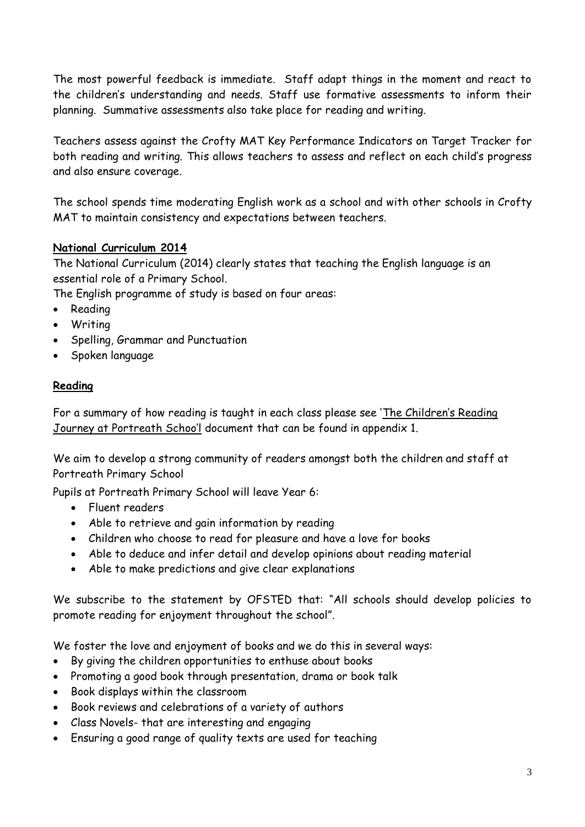The most powerful feedback is immediate. Staff adapt things in the moment and react to the children's understanding and needs. Staff use formative assessments to inform their planning. Summative assessments also take place for reading and writing.

Teachers assess against the Crofty MAT Key Performance Indicators on Target Tracker for both reading and writing. This allows teachers to assess and reflect on each child's progress and also ensure coverage.

The school spends time moderating English work as a school and with other schools in Crofty MAT to maintain consistency and expectations between teachers.

## **National Curriculum 2014**

The National Curriculum (2014) clearly states that teaching the English language is an essential role of a Primary School.

The English programme of study is based on four areas:

- Reading
- Writing
- Spelling, Grammar and Punctuation
- Spoken language

## **Reading**

For a summary of how reading is taught in each class please see 'The Children's Reading Journey at Portreath Schoo'l document that can be found in appendix 1.

We aim to develop a strong community of readers amongst both the children and staff at Portreath Primary School

Pupils at Portreath Primary School will leave Year 6:

- Fluent readers
- Able to retrieve and gain information by reading
- Children who choose to read for pleasure and have a love for books
- Able to deduce and infer detail and develop opinions about reading material
- Able to make predictions and give clear explanations

We subscribe to the statement by OFSTED that: "All schools should develop policies to promote reading for enjoyment throughout the school".

We foster the love and enjoyment of books and we do this in several ways:

- By giving the children opportunities to enthuse about books
- Promoting a good book through presentation, drama or book talk
- Book displays within the classroom
- Book reviews and celebrations of a variety of authors
- Class Novels- that are interesting and engaging
- Ensuring a good range of quality texts are used for teaching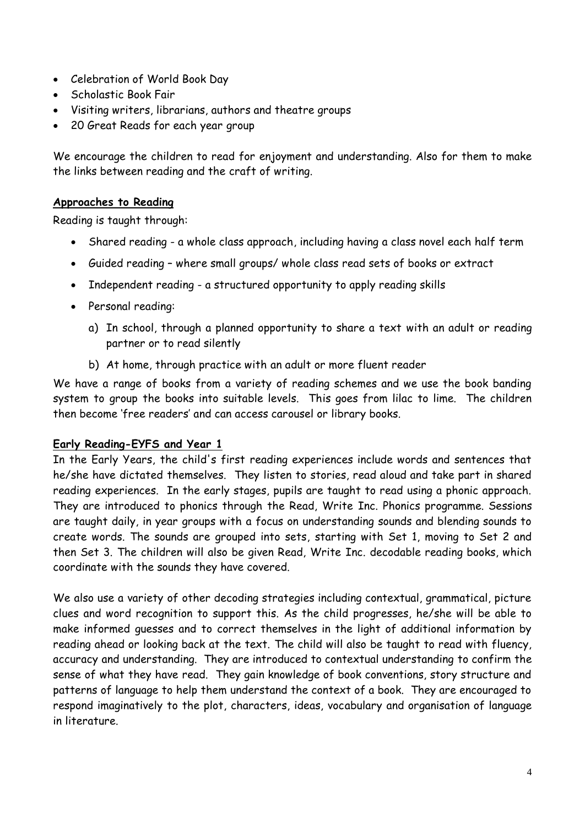- Celebration of World Book Day
- Scholastic Book Fair
- Visiting writers, librarians, authors and theatre groups
- 20 Great Reads for each year group

We encourage the children to read for enjoyment and understanding. Also for them to make the links between reading and the craft of writing.

## **Approaches to Reading**

Reading is taught through:

- Shared reading a whole class approach, including having a class novel each half term
- Guided reading where small groups/ whole class read sets of books or extract
- Independent reading a structured opportunity to apply reading skills
- Personal reading:
	- a) In school, through a planned opportunity to share a text with an adult or reading partner or to read silently
	- b) At home, through practice with an adult or more fluent reader

We have a range of books from a variety of reading schemes and we use the book banding system to group the books into suitable levels. This goes from lilac to lime. The children then become 'free readers' and can access carousel or library books.

## **Early Reading-EYFS and Year 1**

In the Early Years, the child's first reading experiences include words and sentences that he/she have dictated themselves. They listen to stories, read aloud and take part in shared reading experiences. In the early stages, pupils are taught to read using a phonic approach. They are introduced to phonics through the Read, Write Inc. Phonics programme. Sessions are taught daily, in year groups with a focus on understanding sounds and blending sounds to create words. The sounds are grouped into sets, starting with Set 1, moving to Set 2 and then Set 3. The children will also be given Read, Write Inc. decodable reading books, which coordinate with the sounds they have covered.

We also use a variety of other decoding strategies including contextual, grammatical, picture clues and word recognition to support this. As the child progresses, he/she will be able to make informed guesses and to correct themselves in the light of additional information by reading ahead or looking back at the text. The child will also be taught to read with fluency, accuracy and understanding. They are introduced to contextual understanding to confirm the sense of what they have read. They gain knowledge of book conventions, story structure and patterns of language to help them understand the context of a book. They are encouraged to respond imaginatively to the plot, characters, ideas, vocabulary and organisation of language in literature.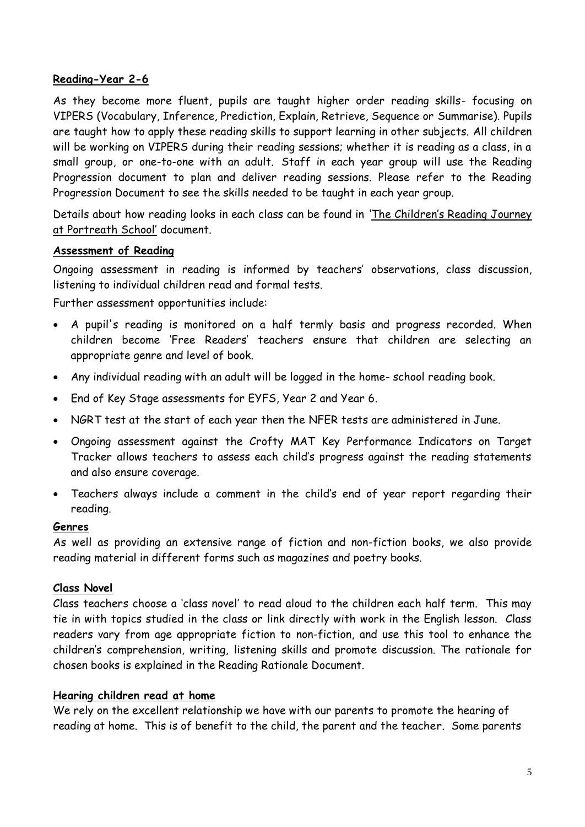## **Reading-Year 2-6**

As they become more fluent, pupils are taught higher order reading skills- focusing on VIPERS (Vocabulary, Inference, Prediction, Explain, Retrieve, Sequence or Summarise). Pupils are taught how to apply these reading skills to support learning in other subjects. All children will be working on VIPERS during their reading sessions; whether it is reading as a class, in a small group, or one-to-one with an adult. Staff in each year group will use the Reading Progression document to plan and deliver reading sessions. Please refer to the Reading Progression Document to see the skills needed to be taught in each year group.

Details about how reading looks in each class can be found in 'The Children's Reading Journey at Portreath School' document.

## **Assessment of Reading**

Ongoing assessment in reading is informed by teachers' observations, class discussion, listening to individual children read and formal tests.

Further assessment opportunities include:

- A pupil's reading is monitored on a half termly basis and progress recorded. When children become 'Free Readers' teachers ensure that children are selecting an appropriate genre and level of book.
- Any individual reading with an adult will be logged in the home- school reading book.
- End of Key Stage assessments for EYFS, Year 2 and Year 6.
- NGRT test at the start of each year then the NFER tests are administered in June.
- Ongoing assessment against the Crofty MAT Key Performance Indicators on Target Tracker allows teachers to assess each child's progress against the reading statements and also ensure coverage.
- Teachers always include a comment in the child's end of year report regarding their reading.

#### **Genres**

As well as providing an extensive range of fiction and non-fiction books, we also provide reading material in different forms such as magazines and poetry books.

## **Class Novel**

Class teachers choose a 'class novel' to read aloud to the children each half term. This may tie in with topics studied in the class or link directly with work in the English lesson. Class readers vary from age appropriate fiction to non-fiction, and use this tool to enhance the children's comprehension, writing, listening skills and promote discussion. The rationale for chosen books is explained in the Reading Rationale Document.

## **Hearing children read at home**

We rely on the excellent relationship we have with our parents to promote the hearing of reading at home. This is of benefit to the child, the parent and the teacher. Some parents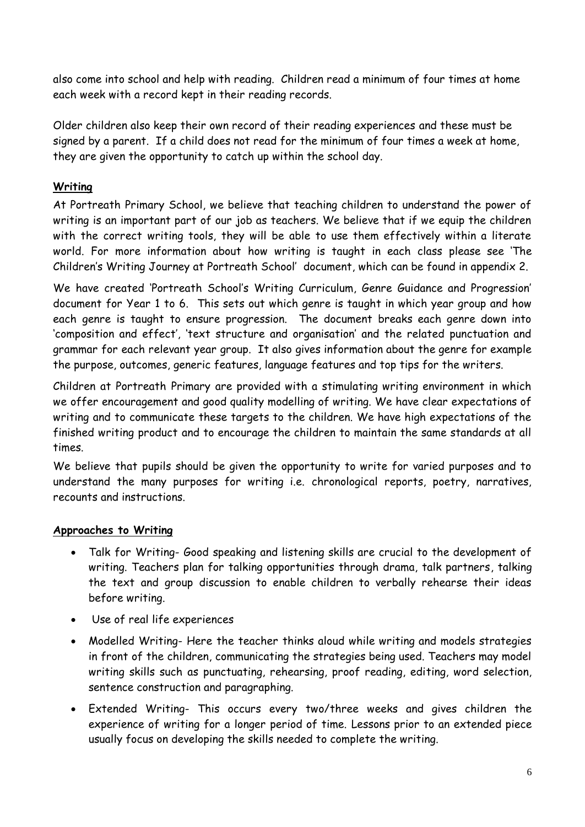also come into school and help with reading. Children read a minimum of four times at home each week with a record kept in their reading records.

Older children also keep their own record of their reading experiences and these must be signed by a parent. If a child does not read for the minimum of four times a week at home, they are given the opportunity to catch up within the school day.

## **Writing**

At Portreath Primary School, we believe that teaching children to understand the power of writing is an important part of our job as teachers. We believe that if we equip the children with the correct writing tools, they will be able to use them effectively within a literate world. For more information about how writing is taught in each class please see 'The Children's Writing Journey at Portreath School' document, which can be found in appendix 2.

We have created 'Portreath School's Writing Curriculum, Genre Guidance and Progression' document for Year 1 to 6. This sets out which genre is taught in which year group and how each genre is taught to ensure progression. The document breaks each genre down into 'composition and effect', 'text structure and organisation' and the related punctuation and grammar for each relevant year group. It also gives information about the genre for example the purpose, outcomes, generic features, language features and top tips for the writers.

Children at Portreath Primary are provided with a stimulating writing environment in which we offer encouragement and good quality modelling of writing. We have clear expectations of writing and to communicate these targets to the children. We have high expectations of the finished writing product and to encourage the children to maintain the same standards at all times.

We believe that pupils should be given the opportunity to write for varied purposes and to understand the many purposes for writing i.e. chronological reports, poetry, narratives, recounts and instructions.

## **Approaches to Writing**

- Talk for Writing- Good speaking and listening skills are crucial to the development of writing. Teachers plan for talking opportunities through drama, talk partners, talking the text and group discussion to enable children to verbally rehearse their ideas before writing.
- Use of real life experiences
- Modelled Writing- Here the teacher thinks aloud while writing and models strategies in front of the children, communicating the strategies being used. Teachers may model writing skills such as punctuating, rehearsing, proof reading, editing, word selection, sentence construction and paragraphing.
- Extended Writing- This occurs every two/three weeks and gives children the experience of writing for a longer period of time. Lessons prior to an extended piece usually focus on developing the skills needed to complete the writing.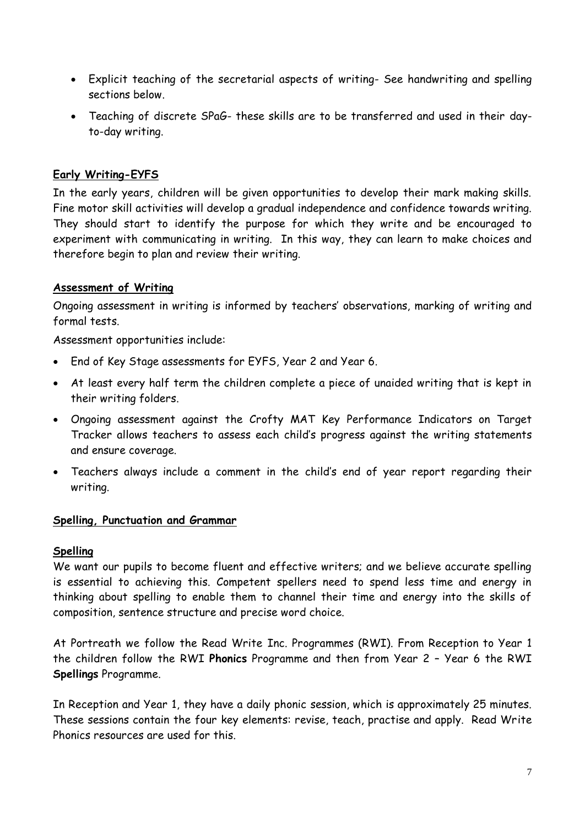- Explicit teaching of the secretarial aspects of writing- See handwriting and spelling sections below.
- Teaching of discrete SPaG- these skills are to be transferred and used in their dayto-day writing.

## **Early Writing-EYFS**

In the early years, children will be given opportunities to develop their mark making skills. Fine motor skill activities will develop a gradual independence and confidence towards writing. They should start to identify the purpose for which they write and be encouraged to experiment with communicating in writing. In this way, they can learn to make choices and therefore begin to plan and review their writing.

## **Assessment of Writing**

Ongoing assessment in writing is informed by teachers' observations, marking of writing and formal tests.

Assessment opportunities include:

- End of Key Stage assessments for EYFS, Year 2 and Year 6.
- At least every half term the children complete a piece of unaided writing that is kept in their writing folders.
- Ongoing assessment against the Crofty MAT Key Performance Indicators on Target Tracker allows teachers to assess each child's progress against the writing statements and ensure coverage.
- Teachers always include a comment in the child's end of year report regarding their writing.

## **Spelling, Punctuation and Grammar**

## **Spelling**

We want our pupils to become fluent and effective writers; and we believe accurate spelling is essential to achieving this. Competent spellers need to spend less time and energy in thinking about spelling to enable them to channel their time and energy into the skills of composition, sentence structure and precise word choice.

At Portreath we follow the Read Write Inc. Programmes (RWI). From Reception to Year 1 the children follow the RWI **Phonics** Programme and then from Year 2 – Year 6 the RWI **Spellings** Programme.

In Reception and Year 1, they have a daily phonic session, which is approximately 25 minutes. These sessions contain the four key elements: revise, teach, practise and apply. Read Write Phonics resources are used for this.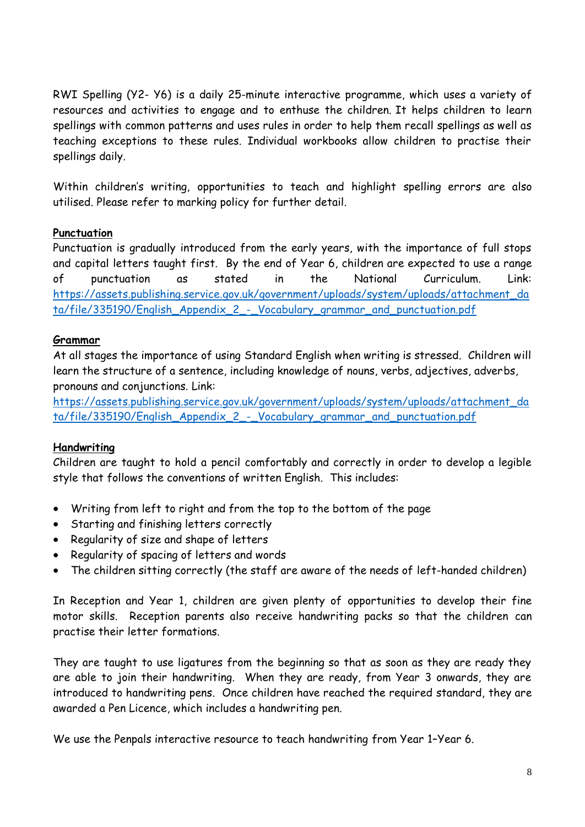RWI Spelling (Y2- Y6) is a daily 25-minute interactive programme, which uses a variety of resources and activities to engage and to enthuse the children. It helps children to learn spellings with common patterns and uses rules in order to help them recall spellings as well as teaching exceptions to these rules. Individual workbooks allow children to practise their spellings daily.

Within children's writing, opportunities to teach and highlight spelling errors are also utilised. Please refer to marking policy for further detail.

## **Punctuation**

Punctuation is gradually introduced from the early years, with the importance of full stops and capital letters taught first. By the end of Year 6, children are expected to use a range of punctuation as stated in the National Curriculum. Link: [https://assets.publishing.service.gov.uk/government/uploads/system/uploads/attachment\\_da](https://assets.publishing.service.gov.uk/government/uploads/system/uploads/attachment_data/file/335190/English_Appendix_2_-_Vocabulary_grammar_and_punctuation.pdf) [ta/file/335190/English\\_Appendix\\_2\\_-\\_Vocabulary\\_grammar\\_and\\_punctuation.pdf](https://assets.publishing.service.gov.uk/government/uploads/system/uploads/attachment_data/file/335190/English_Appendix_2_-_Vocabulary_grammar_and_punctuation.pdf)

## **Grammar**

At all stages the importance of using Standard English when writing is stressed. Children will learn the structure of a sentence, including knowledge of nouns, verbs, adjectives, adverbs, pronouns and conjunctions. Link:

[https://assets.publishing.service.gov.uk/government/uploads/system/uploads/attachment\\_da](https://assets.publishing.service.gov.uk/government/uploads/system/uploads/attachment_data/file/335190/English_Appendix_2_-_Vocabulary_grammar_and_punctuation.pdf) [ta/file/335190/English\\_Appendix\\_2\\_-\\_Vocabulary\\_grammar\\_and\\_punctuation.pdf](https://assets.publishing.service.gov.uk/government/uploads/system/uploads/attachment_data/file/335190/English_Appendix_2_-_Vocabulary_grammar_and_punctuation.pdf)

## **Handwriting**

Children are taught to hold a pencil comfortably and correctly in order to develop a legible style that follows the conventions of written English. This includes:

- Writing from left to right and from the top to the bottom of the page
- Starting and finishing letters correctly
- Regularity of size and shape of letters
- Regularity of spacing of letters and words
- The children sitting correctly (the staff are aware of the needs of left-handed children)

In Reception and Year 1, children are given plenty of opportunities to develop their fine motor skills. Reception parents also receive handwriting packs so that the children can practise their letter formations.

They are taught to use ligatures from the beginning so that as soon as they are ready they are able to join their handwriting. When they are ready, from Year 3 onwards, they are introduced to handwriting pens. Once children have reached the required standard, they are awarded a Pen Licence, which includes a handwriting pen.

We use the Penpals interactive resource to teach handwriting from Year 1–Year 6.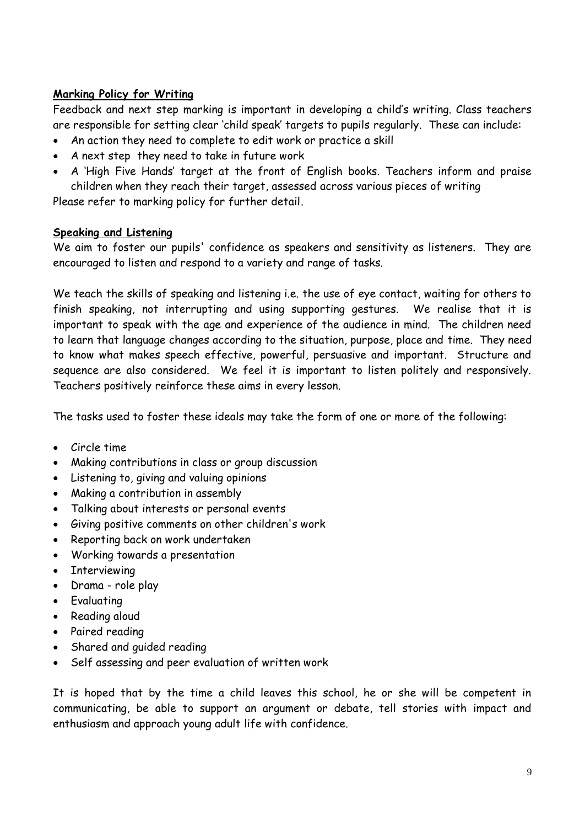## **Marking Policy for Writing**

Feedback and next step marking is important in developing a child's writing. Class teachers are responsible for setting clear 'child speak' targets to pupils regularly. These can include:

- An action they need to complete to edit work or practice a skill
- A next step they need to take in future work
- A 'High Five Hands' target at the front of English books. Teachers inform and praise children when they reach their target, assessed across various pieces of writing

Please refer to marking policy for further detail.

## **Speaking and Listening**

We aim to foster our pupils' confidence as speakers and sensitivity as listeners. They are encouraged to listen and respond to a variety and range of tasks.

We teach the skills of speaking and listening i.e. the use of eye contact, waiting for others to finish speaking, not interrupting and using supporting gestures. We realise that it is important to speak with the age and experience of the audience in mind. The children need to learn that language changes according to the situation, purpose, place and time. They need to know what makes speech effective, powerful, persuasive and important. Structure and sequence are also considered. We feel it is important to listen politely and responsively. Teachers positively reinforce these aims in every lesson.

The tasks used to foster these ideals may take the form of one or more of the following:

- Circle time
- Making contributions in class or group discussion
- Listening to, giving and valuing opinions
- Making a contribution in assembly
- Talking about interests or personal events
- Giving positive comments on other children's work
- Reporting back on work undertaken
- Working towards a presentation
- Interviewing
- Drama role play
- Evaluating
- Reading aloud
- Paired reading
- Shared and guided reading
- Self assessing and peer evaluation of written work

It is hoped that by the time a child leaves this school, he or she will be competent in communicating, be able to support an argument or debate, tell stories with impact and enthusiasm and approach young adult life with confidence.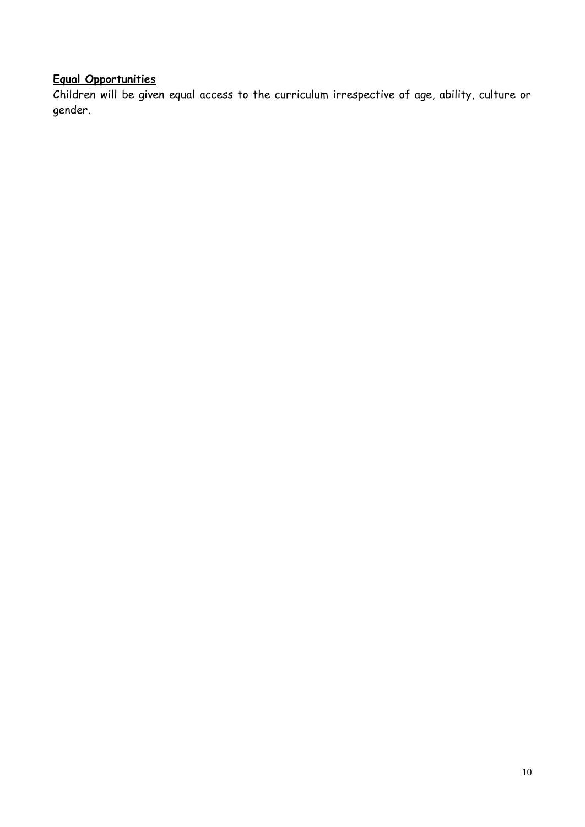# **Equal Opportunities**

Children will be given equal access to the curriculum irrespective of age, ability, culture or gender.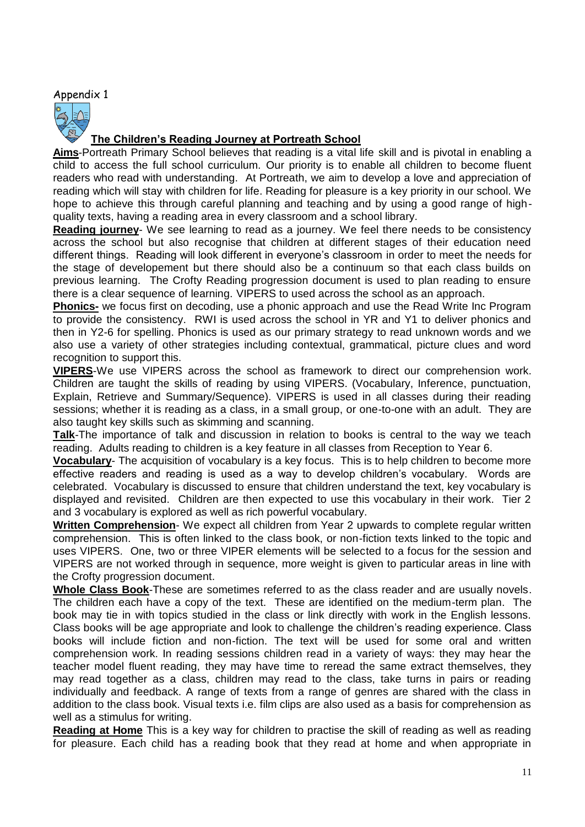#### Appendix 1



## **The Children's Reading Journey at Portreath School**

**Aims**-Portreath Primary School believes that reading is a vital life skill and is pivotal in enabling a child to access the full school curriculum. Our priority is to enable all children to become fluent readers who read with understanding. At Portreath, we aim to develop a love and appreciation of reading which will stay with children for life. Reading for pleasure is a key priority in our school. We hope to achieve this through careful planning and teaching and by using a good range of highquality texts, having a reading area in every classroom and a school library.

**Reading journey**- We see learning to read as a journey. We feel there needs to be consistency across the school but also recognise that children at different stages of their education need different things. Reading will look different in everyone's classroom in order to meet the needs for the stage of developement but there should also be a continuum so that each class builds on previous learning. The Crofty Reading progression document is used to plan reading to ensure there is a clear sequence of learning. VIPERS to used across the school as an approach.

**Phonics-** we focus first on decoding, use a phonic approach and use the Read Write Inc Program to provide the consistency. RWI is used across the school in YR and Y1 to deliver phonics and then in Y2-6 for spelling. Phonics is used as our primary strategy to read unknown words and we also use a variety of other strategies including contextual, grammatical, picture clues and word recognition to support this.

**VIPERS**-We use VIPERS across the school as framework to direct our comprehension work. Children are taught the skills of reading by using VIPERS. (Vocabulary, Inference, punctuation, Explain, Retrieve and Summary/Sequence). VIPERS is used in all classes during their reading sessions; whether it is reading as a class, in a small group, or one-to-one with an adult. They are also taught key skills such as skimming and scanning.

**Talk**-The importance of talk and discussion in relation to books is central to the way we teach reading. Adults reading to children is a key feature in all classes from Reception to Year 6.

**Vocabulary**- The acquisition of vocabulary is a key focus. This is to help children to become more effective readers and reading is used as a way to develop children's vocabulary. Words are celebrated. Vocabulary is discussed to ensure that children understand the text, key vocabulary is displayed and revisited. Children are then expected to use this vocabulary in their work. Tier 2 and 3 vocabulary is explored as well as rich powerful vocabulary.

**Written Comprehension**- We expect all children from Year 2 upwards to complete regular written comprehension. This is often linked to the class book, or non-fiction texts linked to the topic and uses VIPERS. One, two or three VIPER elements will be selected to a focus for the session and VIPERS are not worked through in sequence, more weight is given to particular areas in line with the Crofty progression document.

**Whole Class Book**-These are sometimes referred to as the class reader and are usually novels. The children each have a copy of the text. These are identified on the medium-term plan. The book may tie in with topics studied in the class or link directly with work in the English lessons. Class books will be age appropriate and look to challenge the children's reading experience. Class books will include fiction and non-fiction. The text will be used for some oral and written comprehension work. In reading sessions children read in a variety of ways: they may hear the teacher model fluent reading, they may have time to reread the same extract themselves, they may read together as a class, children may read to the class, take turns in pairs or reading individually and feedback. A range of texts from a range of genres are shared with the class in addition to the class book. Visual texts i.e. film clips are also used as a basis for comprehension as well as a stimulus for writing.

**Reading at Home** This is a key way for children to practise the skill of reading as well as reading for pleasure. Each child has a reading book that they read at home and when appropriate in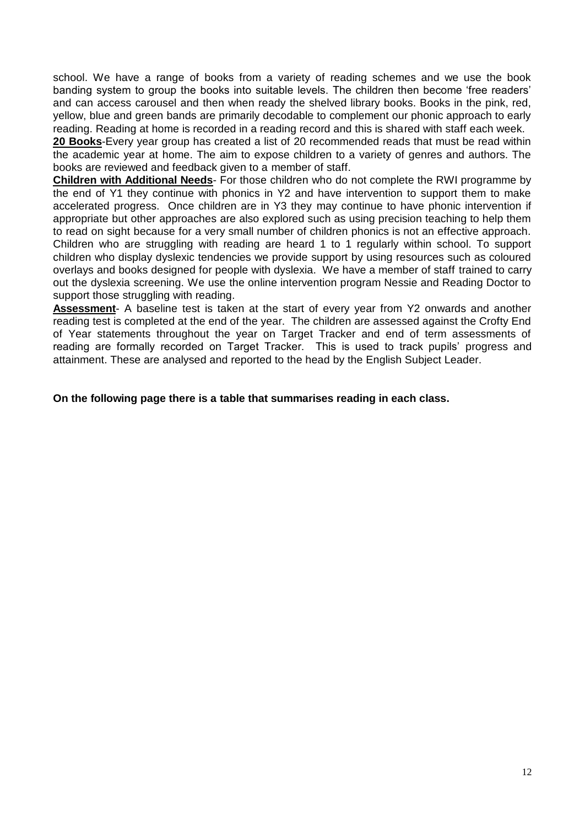school. We have a range of books from a variety of reading schemes and we use the book banding system to group the books into suitable levels. The children then become 'free readers' and can access carousel and then when ready the shelved library books. Books in the pink, red, yellow, blue and green bands are primarily decodable to complement our phonic approach to early reading. Reading at home is recorded in a reading record and this is shared with staff each week.

**20 Books**-Every year group has created a list of 20 recommended reads that must be read within the academic year at home. The aim to expose children to a variety of genres and authors. The books are reviewed and feedback given to a member of staff.

**Children with Additional Needs**- For those children who do not complete the RWI programme by the end of Y1 they continue with phonics in Y2 and have intervention to support them to make accelerated progress. Once children are in Y3 they may continue to have phonic intervention if appropriate but other approaches are also explored such as using precision teaching to help them to read on sight because for a very small number of children phonics is not an effective approach. Children who are struggling with reading are heard 1 to 1 regularly within school. To support children who display dyslexic tendencies we provide support by using resources such as coloured overlays and books designed for people with dyslexia. We have a member of staff trained to carry out the dyslexia screening. We use the online intervention program Nessie and Reading Doctor to support those struggling with reading.

**Assessment**- A baseline test is taken at the start of every year from Y2 onwards and another reading test is completed at the end of the year. The children are assessed against the Crofty End of Year statements throughout the year on Target Tracker and end of term assessments of reading are formally recorded on Target Tracker. This is used to track pupils' progress and attainment. These are analysed and reported to the head by the English Subject Leader.

**On the following page there is a table that summarises reading in each class.**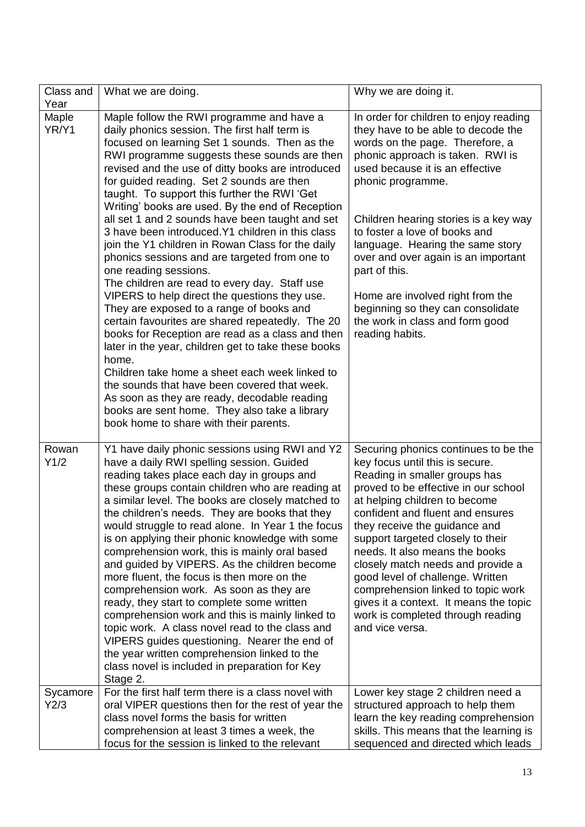| Class and<br>Year | What we are doing.                                                                                                                                                                                                                                                                                                                                                                                                                                                                                                                                                                                                                                                                                                                                                                                                                                                                                                                                                                                                                                                                                                                                                                                          | Why we are doing it.                                                                                                                                                                                                                                                                                                                                                                                                                                                                                                                           |
|-------------------|-------------------------------------------------------------------------------------------------------------------------------------------------------------------------------------------------------------------------------------------------------------------------------------------------------------------------------------------------------------------------------------------------------------------------------------------------------------------------------------------------------------------------------------------------------------------------------------------------------------------------------------------------------------------------------------------------------------------------------------------------------------------------------------------------------------------------------------------------------------------------------------------------------------------------------------------------------------------------------------------------------------------------------------------------------------------------------------------------------------------------------------------------------------------------------------------------------------|------------------------------------------------------------------------------------------------------------------------------------------------------------------------------------------------------------------------------------------------------------------------------------------------------------------------------------------------------------------------------------------------------------------------------------------------------------------------------------------------------------------------------------------------|
| Maple<br>YR/Y1    | Maple follow the RWI programme and have a<br>daily phonics session. The first half term is<br>focused on learning Set 1 sounds. Then as the<br>RWI programme suggests these sounds are then<br>revised and the use of ditty books are introduced<br>for guided reading. Set 2 sounds are then<br>taught. To support this further the RWI 'Get<br>Writing' books are used. By the end of Reception<br>all set 1 and 2 sounds have been taught and set<br>3 have been introduced. Y1 children in this class<br>join the Y1 children in Rowan Class for the daily<br>phonics sessions and are targeted from one to<br>one reading sessions.<br>The children are read to every day. Staff use<br>VIPERS to help direct the questions they use.<br>They are exposed to a range of books and<br>certain favourites are shared repeatedly. The 20<br>books for Reception are read as a class and then<br>later in the year, children get to take these books<br>home.<br>Children take home a sheet each week linked to<br>the sounds that have been covered that week.<br>As soon as they are ready, decodable reading<br>books are sent home. They also take a library<br>book home to share with their parents. | In order for children to enjoy reading<br>they have to be able to decode the<br>words on the page. Therefore, a<br>phonic approach is taken. RWI is<br>used because it is an effective<br>phonic programme.<br>Children hearing stories is a key way<br>to foster a love of books and<br>language. Hearing the same story<br>over and over again is an important<br>part of this.<br>Home are involved right from the<br>beginning so they can consolidate<br>the work in class and form good<br>reading habits.                               |
| Rowan<br>Y1/2     | Y1 have daily phonic sessions using RWI and Y2<br>have a daily RWI spelling session. Guided<br>reading takes place each day in groups and<br>these groups contain children who are reading at<br>a similar level. The books are closely matched to<br>the children's needs. They are books that they<br>would struggle to read alone. In Year 1 the focus<br>is on applying their phonic knowledge with some<br>comprehension work, this is mainly oral based<br>and guided by VIPERS. As the children become<br>more fluent, the focus is then more on the<br>comprehension work. As soon as they are<br>ready, they start to complete some written<br>comprehension work and this is mainly linked to<br>topic work. A class novel read to the class and<br>VIPERS guides questioning. Nearer the end of<br>the year written comprehension linked to the<br>class novel is included in preparation for Key<br>Stage 2.                                                                                                                                                                                                                                                                                    | Securing phonics continues to be the<br>key focus until this is secure.<br>Reading in smaller groups has<br>proved to be effective in our school<br>at helping children to become<br>confident and fluent and ensures<br>they receive the guidance and<br>support targeted closely to their<br>needs. It also means the books<br>closely match needs and provide a<br>good level of challenge. Written<br>comprehension linked to topic work<br>gives it a context. It means the topic<br>work is completed through reading<br>and vice versa. |
| Sycamore<br>Y2/3  | For the first half term there is a class novel with<br>oral VIPER questions then for the rest of year the<br>class novel forms the basis for written<br>comprehension at least 3 times a week, the<br>focus for the session is linked to the relevant                                                                                                                                                                                                                                                                                                                                                                                                                                                                                                                                                                                                                                                                                                                                                                                                                                                                                                                                                       | Lower key stage 2 children need a<br>structured approach to help them<br>learn the key reading comprehension<br>skills. This means that the learning is<br>sequenced and directed which leads                                                                                                                                                                                                                                                                                                                                                  |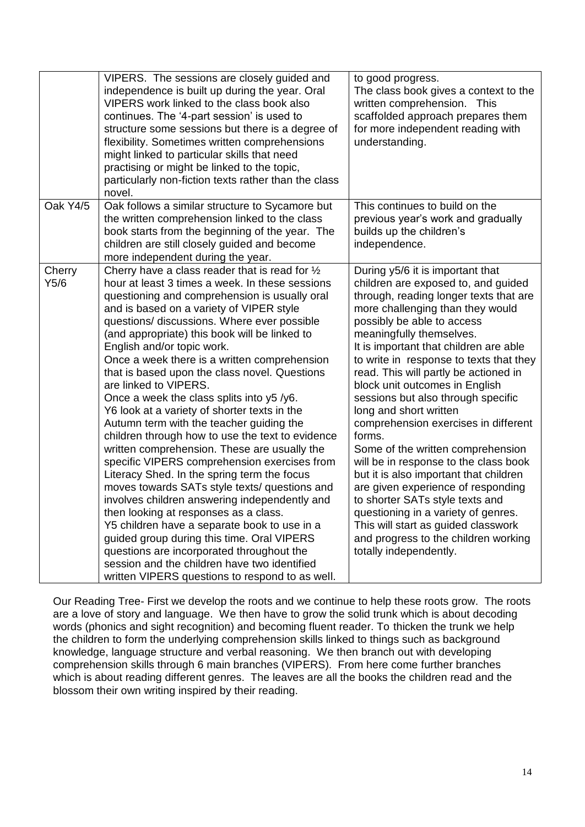|                | VIPERS. The sessions are closely guided and<br>independence is built up during the year. Oral<br>VIPERS work linked to the class book also<br>continues. The '4-part session' is used to<br>structure some sessions but there is a degree of<br>flexibility. Sometimes written comprehensions<br>might linked to particular skills that need<br>practising or might be linked to the topic,<br>particularly non-fiction texts rather than the class<br>novel.                                                                                                                                                                                                                                                                                                                                                                                                                                                                                                                                                                                                                                                                                                                                          | to good progress.<br>The class book gives a context to the<br>written comprehension. This<br>scaffolded approach prepares them<br>for more independent reading with<br>understanding.                                                                                                                                                                                                                                                                                                                                                                                                                                                                                                                                                                                                                                                              |
|----------------|--------------------------------------------------------------------------------------------------------------------------------------------------------------------------------------------------------------------------------------------------------------------------------------------------------------------------------------------------------------------------------------------------------------------------------------------------------------------------------------------------------------------------------------------------------------------------------------------------------------------------------------------------------------------------------------------------------------------------------------------------------------------------------------------------------------------------------------------------------------------------------------------------------------------------------------------------------------------------------------------------------------------------------------------------------------------------------------------------------------------------------------------------------------------------------------------------------|----------------------------------------------------------------------------------------------------------------------------------------------------------------------------------------------------------------------------------------------------------------------------------------------------------------------------------------------------------------------------------------------------------------------------------------------------------------------------------------------------------------------------------------------------------------------------------------------------------------------------------------------------------------------------------------------------------------------------------------------------------------------------------------------------------------------------------------------------|
| Oak Y4/5       | Oak follows a similar structure to Sycamore but<br>the written comprehension linked to the class<br>book starts from the beginning of the year. The<br>children are still closely guided and become<br>more independent during the year.                                                                                                                                                                                                                                                                                                                                                                                                                                                                                                                                                                                                                                                                                                                                                                                                                                                                                                                                                               | This continues to build on the<br>previous year's work and gradually<br>builds up the children's<br>independence.                                                                                                                                                                                                                                                                                                                                                                                                                                                                                                                                                                                                                                                                                                                                  |
| Cherry<br>Y5/6 | Cherry have a class reader that is read for $\frac{1}{2}$<br>hour at least 3 times a week. In these sessions<br>questioning and comprehension is usually oral<br>and is based on a variety of VIPER style<br>questions/ discussions. Where ever possible<br>(and appropriate) this book will be linked to<br>English and/or topic work.<br>Once a week there is a written comprehension<br>that is based upon the class novel. Questions<br>are linked to VIPERS.<br>Once a week the class splits into y5 /y6.<br>Y6 look at a variety of shorter texts in the<br>Autumn term with the teacher guiding the<br>children through how to use the text to evidence<br>written comprehension. These are usually the<br>specific VIPERS comprehension exercises from<br>Literacy Shed. In the spring term the focus<br>moves towards SATs style texts/ questions and<br>involves children answering independently and<br>then looking at responses as a class.<br>Y5 children have a separate book to use in a<br>guided group during this time. Oral VIPERS<br>questions are incorporated throughout the<br>session and the children have two identified<br>written VIPERS questions to respond to as well. | During y5/6 it is important that<br>children are exposed to, and guided<br>through, reading longer texts that are<br>more challenging than they would<br>possibly be able to access<br>meaningfully themselves.<br>It is important that children are able<br>to write in response to texts that they<br>read. This will partly be actioned in<br>block unit outcomes in English<br>sessions but also through specific<br>long and short written<br>comprehension exercises in different<br>forms.<br>Some of the written comprehension<br>will be in response to the class book<br>but it is also important that children<br>are given experience of responding<br>to shorter SATs style texts and<br>questioning in a variety of genres.<br>This will start as guided classwork<br>and progress to the children working<br>totally independently. |

Our Reading Tree- First we develop the roots and we continue to help these roots grow. The roots are a love of story and language. We then have to grow the solid trunk which is about decoding words (phonics and sight recognition) and becoming fluent reader. To thicken the trunk we help the children to form the underlying comprehension skills linked to things such as background knowledge, language structure and verbal reasoning. We then branch out with developing comprehension skills through 6 main branches (VIPERS). From here come further branches which is about reading different genres. The leaves are all the books the children read and the blossom their own writing inspired by their reading.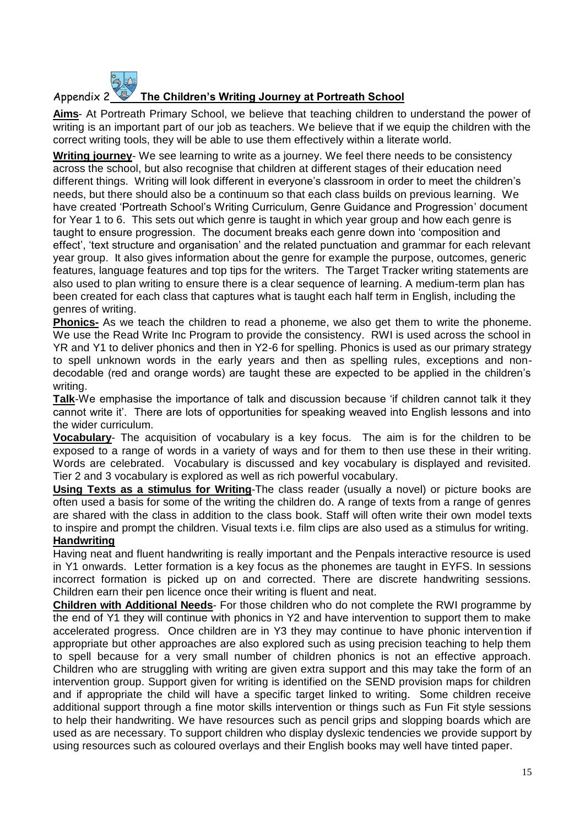## Appendix 2 **The Children's Writing Journey at Portreath School**

**Aims**- At Portreath Primary School, we believe that teaching children to understand the power of writing is an important part of our job as teachers. We believe that if we equip the children with the correct writing tools, they will be able to use them effectively within a literate world.

**Writing journey**- We see learning to write as a journey. We feel there needs to be consistency across the school, but also recognise that children at different stages of their education need different things. Writing will look different in everyone's classroom in order to meet the children's needs, but there should also be a continuum so that each class builds on previous learning. We have created 'Portreath School's Writing Curriculum, Genre Guidance and Progression' document for Year 1 to 6. This sets out which genre is taught in which year group and how each genre is taught to ensure progression. The document breaks each genre down into 'composition and effect', 'text structure and organisation' and the related punctuation and grammar for each relevant year group. It also gives information about the genre for example the purpose, outcomes, generic features, language features and top tips for the writers. The Target Tracker writing statements are also used to plan writing to ensure there is a clear sequence of learning. A medium-term plan has been created for each class that captures what is taught each half term in English, including the genres of writing.

**Phonics-** As we teach the children to read a phoneme, we also get them to write the phoneme. We use the Read Write Inc Program to provide the consistency. RWI is used across the school in YR and Y1 to deliver phonics and then in Y2-6 for spelling. Phonics is used as our primary strategy to spell unknown words in the early years and then as spelling rules, exceptions and nondecodable (red and orange words) are taught these are expected to be applied in the children's writing.

**Talk**-We emphasise the importance of talk and discussion because 'if children cannot talk it they cannot write it'. There are lots of opportunities for speaking weaved into English lessons and into the wider curriculum.

**Vocabulary**- The acquisition of vocabulary is a key focus. The aim is for the children to be exposed to a range of words in a variety of ways and for them to then use these in their writing. Words are celebrated. Vocabulary is discussed and key vocabulary is displayed and revisited. Tier 2 and 3 vocabulary is explored as well as rich powerful vocabulary.

**Using Texts as a stimulus for Writing**-The class reader (usually a novel) or picture books are often used a basis for some of the writing the children do. A range of texts from a range of genres are shared with the class in addition to the class book. Staff will often write their own model texts to inspire and prompt the children. Visual texts i.e. film clips are also used as a stimulus for writing. **Handwriting**

Having neat and fluent handwriting is really important and the Penpals interactive resource is used in Y1 onwards. Letter formation is a key focus as the phonemes are taught in EYFS. In sessions incorrect formation is picked up on and corrected. There are discrete handwriting sessions. Children earn their pen licence once their writing is fluent and neat.

**Children with Additional Needs**- For those children who do not complete the RWI programme by the end of Y1 they will continue with phonics in Y2 and have intervention to support them to make accelerated progress. Once children are in Y3 they may continue to have phonic intervention if appropriate but other approaches are also explored such as using precision teaching to help them to spell because for a very small number of children phonics is not an effective approach. Children who are struggling with writing are given extra support and this may take the form of an intervention group. Support given for writing is identified on the SEND provision maps for children and if appropriate the child will have a specific target linked to writing. Some children receive additional support through a fine motor skills intervention or things such as Fun Fit style sessions to help their handwriting. We have resources such as pencil grips and slopping boards which are used as are necessary. To support children who display dyslexic tendencies we provide support by using resources such as coloured overlays and their English books may well have tinted paper.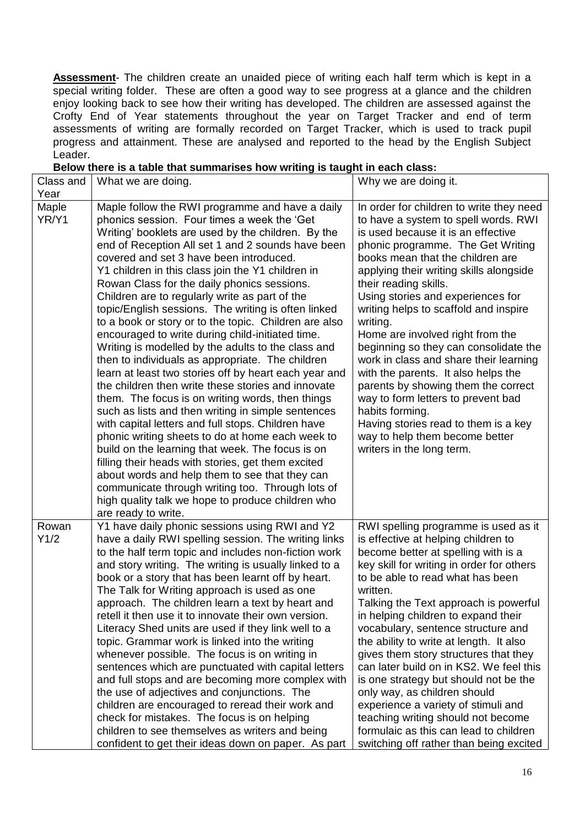**Assessment**- The children create an unaided piece of writing each half term which is kept in a special writing folder. These are often a good way to see progress at a glance and the children enjoy looking back to see how their writing has developed. The children are assessed against the Crofty End of Year statements throughout the year on Target Tracker and end of term assessments of writing are formally recorded on Target Tracker, which is used to track pupil progress and attainment. These are analysed and reported to the head by the English Subject Leader.

|                   | DEIUW there is a table that summanses now whing is taught in each class.                                                                                                                                                                                                                                                                                                                                                                                                                                                                                                                                                                                                                                                                                                                                                                                                                                                                                                                                                                                                                                                                                                                                                                                                                                                |                                                                                                                                                                                                                                                                                                                                                                                                                                                                                                                                                                                                                                                                                                                                    |
|-------------------|-------------------------------------------------------------------------------------------------------------------------------------------------------------------------------------------------------------------------------------------------------------------------------------------------------------------------------------------------------------------------------------------------------------------------------------------------------------------------------------------------------------------------------------------------------------------------------------------------------------------------------------------------------------------------------------------------------------------------------------------------------------------------------------------------------------------------------------------------------------------------------------------------------------------------------------------------------------------------------------------------------------------------------------------------------------------------------------------------------------------------------------------------------------------------------------------------------------------------------------------------------------------------------------------------------------------------|------------------------------------------------------------------------------------------------------------------------------------------------------------------------------------------------------------------------------------------------------------------------------------------------------------------------------------------------------------------------------------------------------------------------------------------------------------------------------------------------------------------------------------------------------------------------------------------------------------------------------------------------------------------------------------------------------------------------------------|
| Class and<br>Year | What we are doing.                                                                                                                                                                                                                                                                                                                                                                                                                                                                                                                                                                                                                                                                                                                                                                                                                                                                                                                                                                                                                                                                                                                                                                                                                                                                                                      | Why we are doing it.                                                                                                                                                                                                                                                                                                                                                                                                                                                                                                                                                                                                                                                                                                               |
| Maple<br>YR/Y1    | Maple follow the RWI programme and have a daily<br>phonics session. Four times a week the 'Get<br>Writing' booklets are used by the children. By the<br>end of Reception All set 1 and 2 sounds have been<br>covered and set 3 have been introduced.<br>Y1 children in this class join the Y1 children in<br>Rowan Class for the daily phonics sessions.<br>Children are to regularly write as part of the<br>topic/English sessions. The writing is often linked<br>to a book or story or to the topic. Children are also<br>encouraged to write during child-initiated time.<br>Writing is modelled by the adults to the class and<br>then to individuals as appropriate. The children<br>learn at least two stories off by heart each year and<br>the children then write these stories and innovate<br>them. The focus is on writing words, then things<br>such as lists and then writing in simple sentences<br>with capital letters and full stops. Children have<br>phonic writing sheets to do at home each week to<br>build on the learning that week. The focus is on<br>filling their heads with stories, get them excited<br>about words and help them to see that they can<br>communicate through writing too. Through lots of<br>high quality talk we hope to produce children who<br>are ready to write. | In order for children to write they need<br>to have a system to spell words. RWI<br>is used because it is an effective<br>phonic programme. The Get Writing<br>books mean that the children are<br>applying their writing skills alongside<br>their reading skills.<br>Using stories and experiences for<br>writing helps to scaffold and inspire<br>writing.<br>Home are involved right from the<br>beginning so they can consolidate the<br>work in class and share their learning<br>with the parents. It also helps the<br>parents by showing them the correct<br>way to form letters to prevent bad<br>habits forming.<br>Having stories read to them is a key<br>way to help them become better<br>writers in the long term. |
| Rowan<br>Y1/2     | Y1 have daily phonic sessions using RWI and Y2<br>have a daily RWI spelling session. The writing links<br>to the half term topic and includes non-fiction work<br>and story writing. The writing is usually linked to a<br>book or a story that has been learnt off by heart.<br>The Talk for Writing approach is used as one<br>approach. The children learn a text by heart and<br>retell it then use it to innovate their own version.<br>Literacy Shed units are used if they link well to a<br>topic. Grammar work is linked into the writing<br>whenever possible. The focus is on writing in<br>sentences which are punctuated with capital letters<br>and full stops and are becoming more complex with<br>the use of adjectives and conjunctions. The<br>children are encouraged to reread their work and<br>check for mistakes. The focus is on helping<br>children to see themselves as writers and being<br>confident to get their ideas down on paper. As part                                                                                                                                                                                                                                                                                                                                             | RWI spelling programme is used as it<br>is effective at helping children to<br>become better at spelling with is a<br>key skill for writing in order for others<br>to be able to read what has been<br>written.<br>Talking the Text approach is powerful<br>in helping children to expand their<br>vocabulary, sentence structure and<br>the ability to write at length. It also<br>gives them story structures that they<br>can later build on in KS2. We feel this<br>is one strategy but should not be the<br>only way, as children should<br>experience a variety of stimuli and<br>teaching writing should not become<br>formulaic as this can lead to children<br>switching off rather than being excited                    |

#### **Below there is a table that summarises how writing is taught in each class:**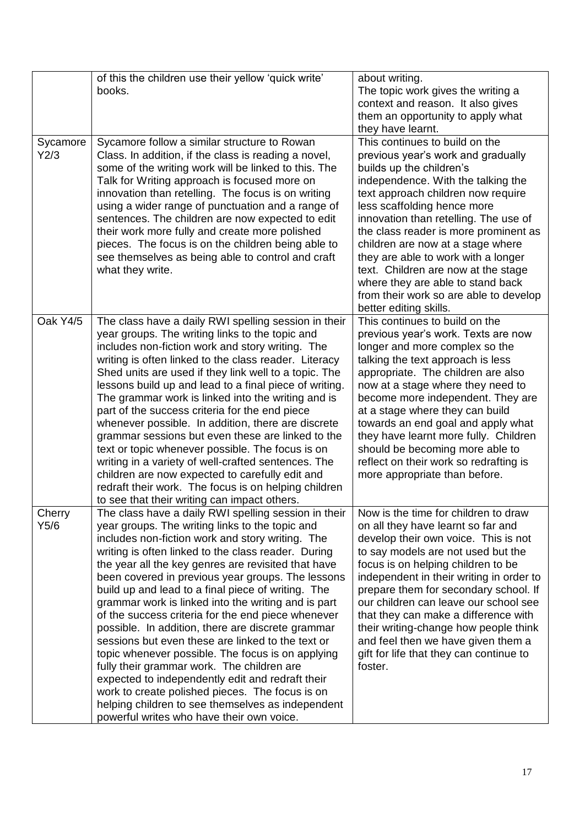|                  | of this the children use their yellow 'quick write'<br>books.                                                                                                                                                                                                                                                                                                                                                                                                                                                                                                                                                                                                                                                                                                                                                                                                                                                           | about writing.<br>The topic work gives the writing a<br>context and reason. It also gives<br>them an opportunity to apply what<br>they have learnt.                                                                                                                                                                                                                                                                                                                                                                       |
|------------------|-------------------------------------------------------------------------------------------------------------------------------------------------------------------------------------------------------------------------------------------------------------------------------------------------------------------------------------------------------------------------------------------------------------------------------------------------------------------------------------------------------------------------------------------------------------------------------------------------------------------------------------------------------------------------------------------------------------------------------------------------------------------------------------------------------------------------------------------------------------------------------------------------------------------------|---------------------------------------------------------------------------------------------------------------------------------------------------------------------------------------------------------------------------------------------------------------------------------------------------------------------------------------------------------------------------------------------------------------------------------------------------------------------------------------------------------------------------|
| Sycamore<br>Y2/3 | Sycamore follow a similar structure to Rowan<br>Class. In addition, if the class is reading a novel,<br>some of the writing work will be linked to this. The<br>Talk for Writing approach is focused more on<br>innovation than retelling. The focus is on writing<br>using a wider range of punctuation and a range of<br>sentences. The children are now expected to edit<br>their work more fully and create more polished<br>pieces. The focus is on the children being able to<br>see themselves as being able to control and craft<br>what they write.                                                                                                                                                                                                                                                                                                                                                            | This continues to build on the<br>previous year's work and gradually<br>builds up the children's<br>independence. With the talking the<br>text approach children now require<br>less scaffolding hence more<br>innovation than retelling. The use of<br>the class reader is more prominent as<br>children are now at a stage where<br>they are able to work with a longer<br>text. Children are now at the stage<br>where they are able to stand back<br>from their work so are able to develop<br>better editing skills. |
| Oak Y4/5         | The class have a daily RWI spelling session in their<br>year groups. The writing links to the topic and<br>includes non-fiction work and story writing. The<br>writing is often linked to the class reader. Literacy<br>Shed units are used if they link well to a topic. The<br>lessons build up and lead to a final piece of writing.<br>The grammar work is linked into the writing and is<br>part of the success criteria for the end piece<br>whenever possible. In addition, there are discrete<br>grammar sessions but even these are linked to the<br>text or topic whenever possible. The focus is on<br>writing in a variety of well-crafted sentences. The<br>children are now expected to carefully edit and<br>redraft their work. The focus is on helping children<br>to see that their writing can impact others.                                                                                        | This continues to build on the<br>previous year's work. Texts are now<br>longer and more complex so the<br>talking the text approach is less<br>appropriate. The children are also<br>now at a stage where they need to<br>become more independent. They are<br>at a stage where they can build<br>towards an end goal and apply what<br>they have learnt more fully. Children<br>should be becoming more able to<br>reflect on their work so redrafting is<br>more appropriate than before.                              |
| Cherry<br>Y5/6   | The class have a daily RWI spelling session in their<br>year groups. The writing links to the topic and<br>includes non-fiction work and story writing. The<br>writing is often linked to the class reader. During<br>the year all the key genres are revisited that have<br>been covered in previous year groups. The lessons<br>build up and lead to a final piece of writing. The<br>grammar work is linked into the writing and is part<br>of the success criteria for the end piece whenever<br>possible. In addition, there are discrete grammar<br>sessions but even these are linked to the text or<br>topic whenever possible. The focus is on applying<br>fully their grammar work. The children are<br>expected to independently edit and redraft their<br>work to create polished pieces. The focus is on<br>helping children to see themselves as independent<br>powerful writes who have their own voice. | Now is the time for children to draw<br>on all they have learnt so far and<br>develop their own voice. This is not<br>to say models are not used but the<br>focus is on helping children to be<br>independent in their writing in order to<br>prepare them for secondary school. If<br>our children can leave our school see<br>that they can make a difference with<br>their writing-change how people think<br>and feel then we have given them a<br>gift for life that they can continue to<br>foster.                 |